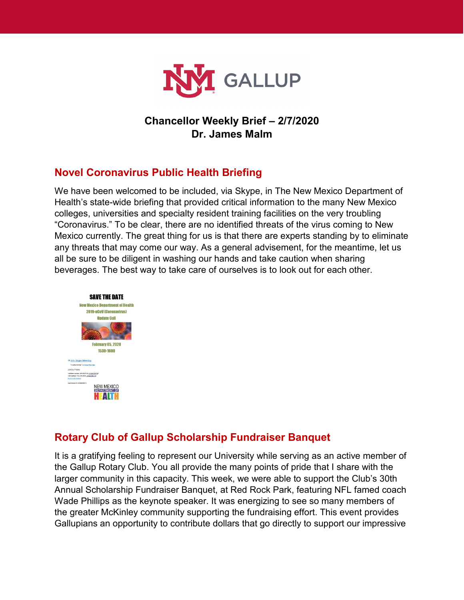

# **Chancellor Weekly Brief – 2/7/2020 Dr. James Malm**

# **Novel Coronavirus Public Health Briefing**

We have been welcomed to be included, via Skype, in The New Mexico Department of Health's state-wide briefing that provided critical information to the many New Mexico colleges, universities and specialty resident training facilities on the very troubling "Coronavirus." To be clear, there are no identified threats of the virus coming to New Mexico currently. The great thing for us is that there are experts standing by to eliminate any threats that may come our way. As a general advisement, for the meantime, let us all be sure to be diligent in washing our hands and take caution when sharing beverages. The best way to take care of ourselves is to look out for each other.



# **Rotary Club of Gallup Scholarship Fundraiser Banquet**

It is a gratifying feeling to represent our University while serving as an active member of the Gallup Rotary Club. You all provide the many points of pride that I share with the larger community in this capacity. This week, we were able to support the Club's 30th Annual Scholarship Fundraiser Banquet, at Red Rock Park, featuring NFL famed coach Wade Phillips as the keynote speaker. It was energizing to see so many members of the greater McKinley community supporting the fundraising effort. This event provides Gallupians an opportunity to contribute dollars that go directly to support our impressive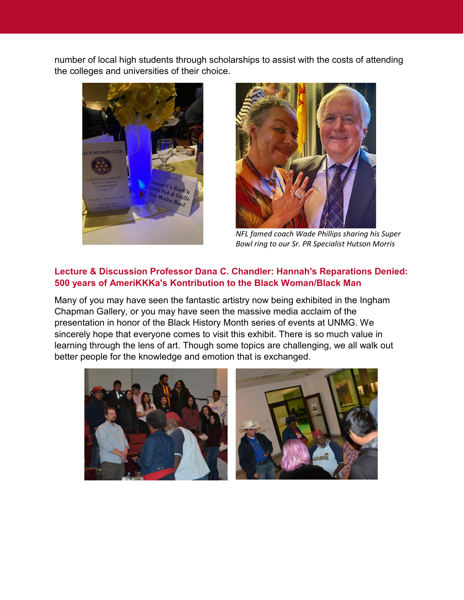number of local high students through scholarships to assist with the costs of attending the colleges and universities of their choice.





*NFL famed coach Wade Phillips sharing his Super Bowl ring to our Sr. PR Specialist Hutson Morris*

### **Lecture & Discussion Professor Dana C. Chandler: Hannah's Reparations Denied: 500 years of AmeriKKKa's Kontribution to the Black Woman/Black Man**

Many of you may have seen the fantastic artistry now being exhibited in the Ingham Chapman Gallery, or you may have seen the massive media acclaim of the presentation in honor of the Black History Month series of events at UNMG. We sincerely hope that everyone comes to visit this exhibit. There is so much value in learning through the lens of art. Though some topics are challenging, we all walk out better people for the knowledge and emotion that is exchanged.

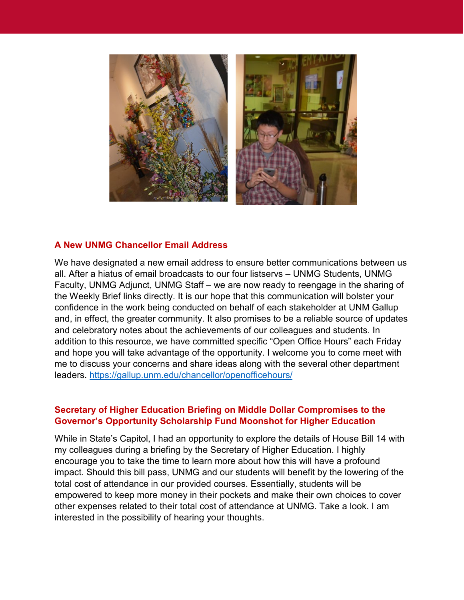

#### **A New UNMG Chancellor Email Address**

We have designated a new email address to ensure better communications between us all. After a hiatus of email broadcasts to our four listservs – UNMG Students, UNMG Faculty, UNMG Adjunct, UNMG Staff – we are now ready to reengage in the sharing of the Weekly Brief links directly. It is our hope that this communication will bolster your confidence in the work being conducted on behalf of each stakeholder at UNM Gallup and, in effect, the greater community. It also promises to be a reliable source of updates and celebratory notes about the achievements of our colleagues and students. In addition to this resource, we have committed specific "Open Office Hours" each Friday and hope you will take advantage of the opportunity. I welcome you to come meet with me to discuss your concerns and share ideas along with the several other department leaders.<https://gallup.unm.edu/chancellor/openofficehours/>

#### **Secretary of Higher Education Briefing on Middle Dollar Compromises to the Governor's Opportunity Scholarship Fund Moonshot for Higher Education**

While in State's Capitol, I had an opportunity to explore the details of House Bill 14 with my colleagues during a briefing by the Secretary of Higher Education. I highly encourage you to take the time to learn more about how this will have a profound impact. Should this bill pass, UNMG and our students will benefit by the lowering of the total cost of attendance in our provided courses. Essentially, students will be empowered to keep more money in their pockets and make their own choices to cover other expenses related to their total cost of attendance at UNMG. Take a look. I am interested in the possibility of hearing your thoughts.